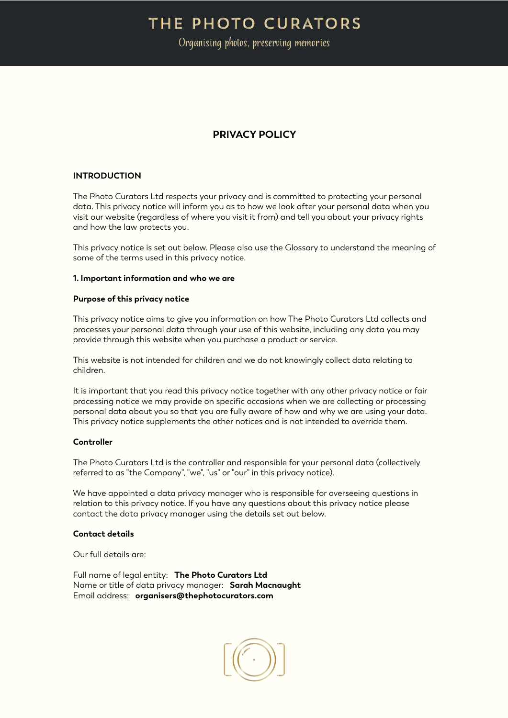Organising photos, preserving memories

# **PRIVACY POLICY**

# **INTRODUCTION**

The Photo Curators Ltd respects your privacy and is committed to protecting your personal data. This privacy notice will inform you as to how we look after your personal data when you visit our website (regardless of where you visit it from) and tell you about your privacy rights and how the law protects you.

This privacy notice is set out below. Please also use the Glossary to understand the meaning of some of the terms used in this privacy notice.

### **1. Important information and who we are**

### **Purpose of this privacy notice**

This privacy notice aims to give you information on how The Photo Curators Ltd collects and processes your personal data through your use of this website, including any data you may provide through this website when you purchase a product or service.

This website is not intended for children and we do not knowingly collect data relating to children.

It is important that you read this privacy notice together with any other privacy notice or fair processing notice we may provide on specific occasions when we are collecting or processing personal data about you so that you are fully aware of how and why we are using your data. This privacy notice supplements the other notices and is not intended to override them.

#### **Controller**

The Photo Curators Ltd is the controller and responsible for your personal data (collectively referred to as "the Company", "we", "us" or "our" in this privacy notice).

We have appointed a data privacy manager who is responsible for overseeing questions in relation to this privacy notice. If you have any questions about this privacy notice please contact the data privacy manager using the details set out below.

# **Contact details**

Our full details are:

Full name of legal entity: **The Photo Curators Ltd** Name or title of data privacy manager: **Sarah Macnaught** Email address: **organisers@thephotocurators.com**

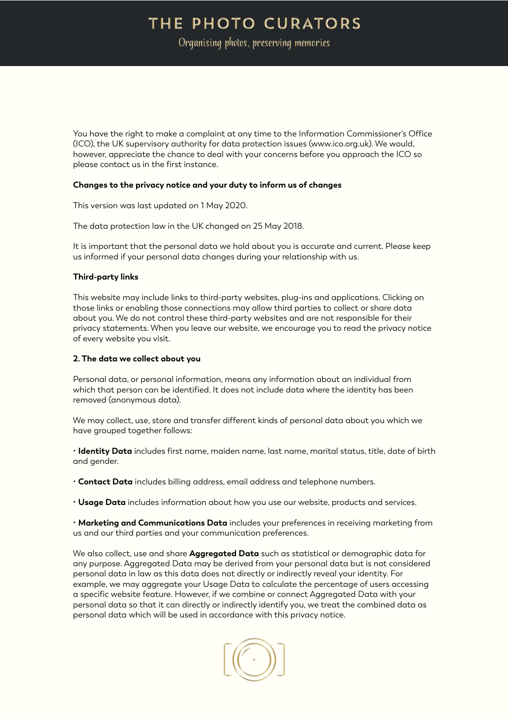Organising photos, preserving memories

You have the right to make a complaint at any time to the Information Commissioner's Office (ICO), the UK supervisory authority for data protection issues (www.ico.org.uk). We would, however, appreciate the chance to deal with your concerns before you approach the ICO so please contact us in the first instance.

### **Changes to the privacy notice and your duty to inform us of changes**

This version was last updated on 1 May 2020.

The data protection law in the UK changed on 25 May 2018.

It is important that the personal data we hold about you is accurate and current. Please keep us informed if your personal data changes during your relationship with us.

### **Third-party links**

This website may include links to third-party websites, plug-ins and applications. Clicking on those links or enabling those connections may allow third parties to collect or share data about you. We do not control these third-party websites and are not responsible for their privacy statements. When you leave our website, we encourage you to read the privacy notice of every website you visit.

#### **2. The data we collect about you**

Personal data, or personal information, means any information about an individual from which that person can be identified. It does not include data where the identity has been removed (anonymous data).

We may collect, use, store and transfer different kinds of personal data about you which we have grouped together follows:

• **Identity Data** includes first name, maiden name, last name, marital status, title, date of birth and gender.

• **Contact Data** includes billing address, email address and telephone numbers.

• **Usage Data** includes information about how you use our website, products and services.

• **Marketing and Communications Data** includes your preferences in receiving marketing from us and our third parties and your communication preferences.

We also collect, use and share **Aggregated Data** such as statistical or demographic data for any purpose. Aggregated Data may be derived from your personal data but is not considered personal data in law as this data does not directly or indirectly reveal your identity. For example, we may aggregate your Usage Data to calculate the percentage of users accessing a specific website feature. However, if we combine or connect Aggregated Data with your personal data so that it can directly or indirectly identify you, we treat the combined data as personal data which will be used in accordance with this privacy notice.

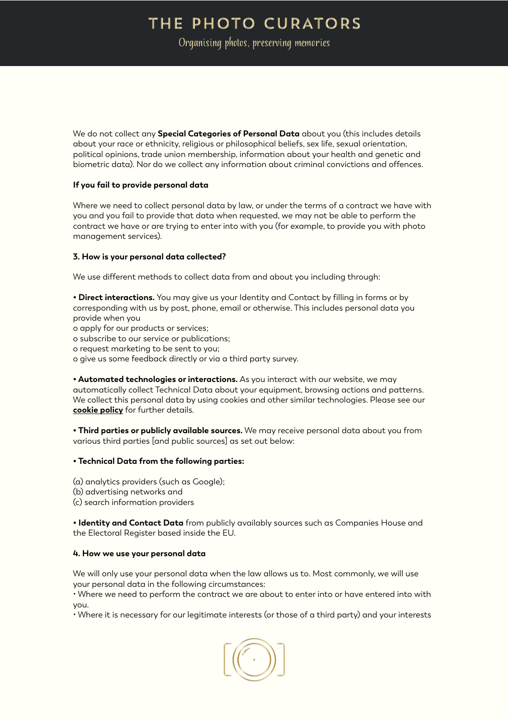Organising photos, preserving memories

We do not collect any **Special Categories of Personal Data** about you (this includes details about your race or ethnicity, religious or philosophical beliefs, sex life, sexual orientation, political opinions, trade union membership, information about your health and genetic and biometric data). Nor do we collect any information about criminal convictions and offences.

# **If you fail to provide personal data**

Where we need to collect personal data by law, or under the terms of a contract we have with you and you fail to provide that data when requested, we may not be able to perform the contract we have or are trying to enter into with you (for example, to provide you with photo management services).

### **3. How is your personal data collected?**

We use different methods to collect data from and about you including through:

**• Direct interactions.** You may give us your Identity and Contact by filling in forms or by corresponding with us by post, phone, email or otherwise. This includes personal data you provide when you

o apply for our products or services;

- o subscribe to our service or publications;
- o request marketing to be sent to you;
- o give us some feedback directly or via a third party survey.

**• Automated technologies or interactions.** As you interact with our website, we may automatically collect Technical Data about your equipment, browsing actions and patterns. We collect this personal data by using cookies and other similar technologies. Please see our **[cookie policy](#page-10-0)** for further details.

**• Third parties or publicly available sources.** We may receive personal data about you from various third parties [and public sources] as set out below:

#### **• Technical Data from the following parties:**

(a) analytics providers (such as Google);

- (b) advertising networks and
- (c) search information providers

**• Identity and Contact Data** from publicly availably sources such as Companies House and the Electoral Register based inside the EU.

### **4. How we use your personal data**

We will only use your personal data when the law allows us to. Most commonly, we will use your personal data in the following circumstances:

• Where we need to perform the contract we are about to enter into or have entered into with you.

• Where it is necessary for our legitimate interests (or those of a third party) and your interests

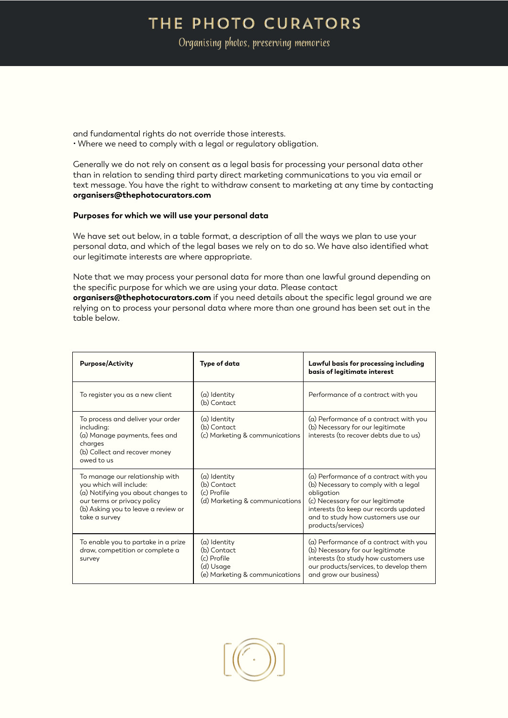Organising photos, preserving memories

and fundamental rights do not override those interests. • Where we need to comply with a legal or regulatory obligation.

Generally we do not rely on consent as a legal basis for processing your personal data other than in relation to sending third party direct marketing communications to you via email or text message. You have the right to withdraw consent to marketing at any time by contacting **organisers@thephotocurators.com**

### **Purposes for which we will use your personal data**

We have set out below, in a table format, a description of all the ways we plan to use your personal data, and which of the legal bases we rely on to do so. We have also identified what our legitimate interests are where appropriate.

Note that we may process your personal data for more than one lawful ground depending on the specific purpose for which we are using your data. Please contact

**organisers@thephotocurators.com** if you need details about the specific legal ground we are relying on to process your personal data where more than one ground has been set out in the table below.

| <b>Purpose/Activity</b>                                                                                                                                                                 | Type of data                                                                              | Lawful basis for processing including<br>basis of legitimate interest                                                                                                                                                                  |
|-----------------------------------------------------------------------------------------------------------------------------------------------------------------------------------------|-------------------------------------------------------------------------------------------|----------------------------------------------------------------------------------------------------------------------------------------------------------------------------------------------------------------------------------------|
| To register you as a new client                                                                                                                                                         | (a) Identity<br>(b) Contact                                                               | Performance of a contract with you                                                                                                                                                                                                     |
| To process and deliver your order<br>including:<br>(a) Manage payments, fees and<br>charges<br>(b) Collect and recover money<br>owed to us                                              | (a) Identity<br>(b) Contact<br>(c) Marketing & communications                             | (a) Performance of a contract with you<br>(b) Necessary for our legitimate<br>interests (to recover debts due to us)                                                                                                                   |
| To manage our relationship with<br>you which will include:<br>(a) Notifying you about changes to<br>our terms or privacy policy<br>(b) Asking you to leave a review or<br>take a survey | (a) Identity<br>(b) Contact<br>(c) Profile<br>(d) Marketing & communications              | (a) Performance of a contract with you<br>(b) Necessary to comply with a legal<br>obligation<br>(c) Necessary for our legitimate<br>interests (to keep our records updated<br>and to study how customers use our<br>products/services) |
| To enable you to partake in a prize<br>draw, competition or complete a<br>survey                                                                                                        | (a) Identity<br>(b) Contact<br>(c) Profile<br>(d) Usage<br>(e) Marketing & communications | (a) Performance of a contract with you<br>(b) Necessary for our legitimate<br>interests (to study how customers use<br>our products/services, to develop them<br>and grow our business)                                                |

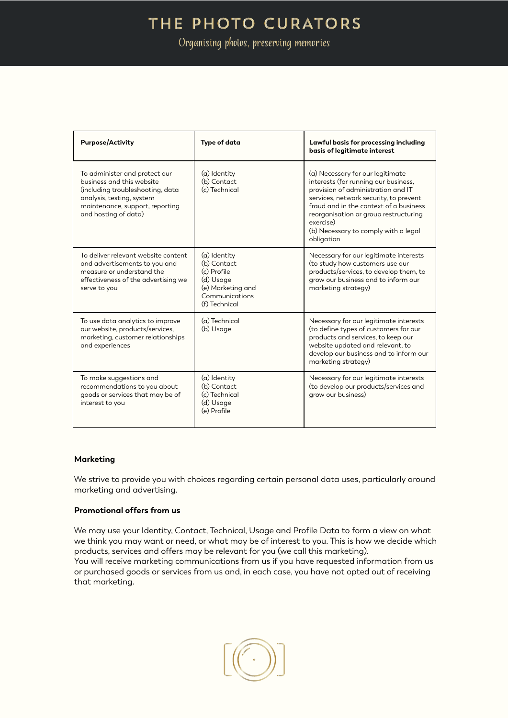Organising photos, preserving memories

| <b>Purpose/Activity</b>                                                                                                                                                                | <b>Type of data</b>                                                                                             | Lawful basis for processing including<br>basis of legitimate interest                                                                                                                                                                                                                                          |
|----------------------------------------------------------------------------------------------------------------------------------------------------------------------------------------|-----------------------------------------------------------------------------------------------------------------|----------------------------------------------------------------------------------------------------------------------------------------------------------------------------------------------------------------------------------------------------------------------------------------------------------------|
| To administer and protect our<br>business and this website<br>(including troubleshooting, data<br>analysis, testing, system<br>maintenance, support, reporting<br>and hosting of data) | (a) Identity<br>(b) Contact<br>(c) Technical                                                                    | (a) Necessary for our legitimate<br>interests (for running our business,<br>provision of administration and IT<br>services, network security, to prevent<br>fraud and in the context of a business<br>reorganisation or group restructuring<br>exercise)<br>(b) Necessary to comply with a legal<br>obligation |
| To deliver relevant website content<br>and advertisements to you and<br>measure or understand the<br>effectiveness of the advertising we<br>serve to you                               | (a) Identity<br>(b) Contact<br>(c) Profile<br>(d) Usage<br>(e) Marketing and<br>Communications<br>(f) Technical | Necessary for our legitimate interests<br>(to study how customers use our<br>products/services, to develop them, to<br>grow our business and to inform our<br>marketing strategy)                                                                                                                              |
| To use data analytics to improve<br>our website, products/services,<br>marketing, customer relationships<br>and experiences                                                            | (a) Technical<br>(b) Usage                                                                                      | Necessary for our legitimate interests<br>(to define types of customers for our<br>products and services, to keep our<br>website updated and relevant, to<br>develop our business and to inform our<br>marketing strategy)                                                                                     |
| To make suggestions and<br>recommendations to you about<br>goods or services that may be of<br>interest to you                                                                         | (a) Identity<br>(b) Contact<br>(c) Technical<br>(d) Usage<br>(e) Profile                                        | Necessary for our legitimate interests<br>(to develop our products/services and<br>grow our business)                                                                                                                                                                                                          |

# **Marketing**

We strive to provide you with choices regarding certain personal data uses, particularly around marketing and advertising.

### **Promotional offers from us**

We may use your Identity, Contact, Technical, Usage and Profile Data to form a view on what we think you may want or need, or what may be of interest to you. This is how we decide which products, services and offers may be relevant for you (we call this marketing). You will receive marketing communications from us if you have requested information from us or purchased goods or services from us and, in each case, you have not opted out of receiving that marketing.

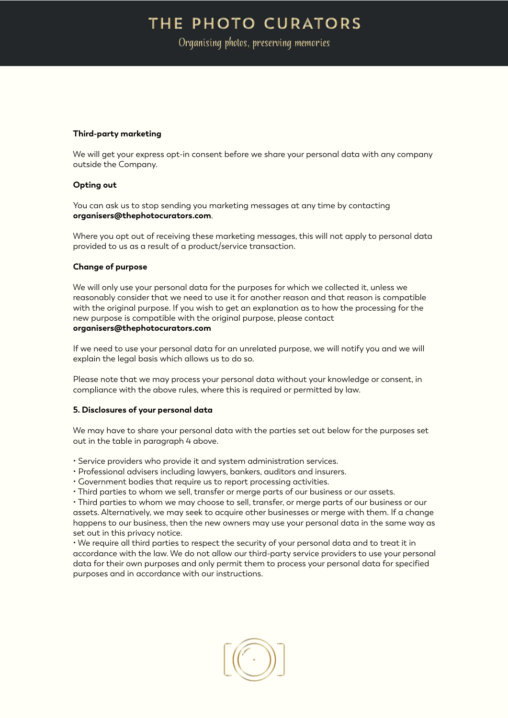Organising photos, preserving memories

#### **Third-party marketing**

We will get your express opt-in consent before we share your personal data with any company outside the Company.

### **Opting out**

You can ask us to stop sending you marketing messages at any time by contacting **organisers@thephotocurators.com**.

Where you opt out of receiving these marketing messages, this will not apply to personal data provided to us as a result of a product/service transaction.

### **Change of purpose**

We will only use your personal data for the purposes for which we collected it, unless we reasonably consider that we need to use it for another reason and that reason is compatible with the original purpose. If you wish to get an explanation as to how the processing for the new purpose is compatible with the original purpose, please contact **organisers@thephotocurators.com**

If we need to use your personal data for an unrelated purpose, we will notify you and we will explain the legal basis which allows us to do so.

Please note that we may process your personal data without your knowledge or consent, in compliance with the above rules, where this is required or permitted by law.

#### **5. Disclosures of your personal data**

We may have to share your personal data with the parties set out below for the purposes set out in the table in paragraph 4 above.

- Service providers who provide it and system administration services.
- Professional advisers including lawyers, bankers, auditors and insurers.
- Government bodies that require us to report processing activities.
- Third parties to whom we sell, transfer or merge parts of our business or our assets.

• Third parties to whom we may choose to sell, transfer, or merge parts of our business or our assets. Alternatively, we may seek to acquire other businesses or merge with them. If a change happens to our business, then the new owners may use your personal data in the same way as set out in this privacy notice.

• We require all third parties to respect the security of your personal data and to treat it in accordance with the law. We do not allow our third-party service providers to use your personal data for their own purposes and only permit them to process your personal data for specified purposes and in accordance with our instructions.

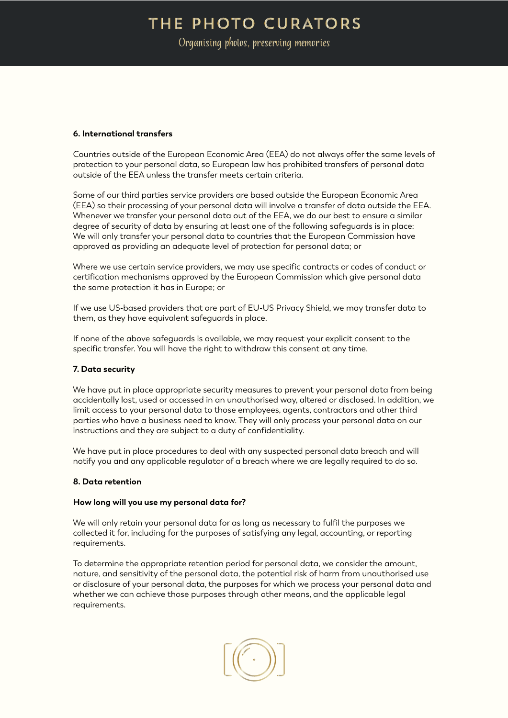Organising photos, preserving memories

### **6. International transfers**

Countries outside of the European Economic Area (EEA) do not always offer the same levels of protection to your personal data, so European law has prohibited transfers of personal data outside of the EEA unless the transfer meets certain criteria.

Some of our third parties service providers are based outside the European Economic Area (EEA) so their processing of your personal data will involve a transfer of data outside the EEA. Whenever we transfer your personal data out of the EEA, we do our best to ensure a similar degree of security of data by ensuring at least one of the following safeguards is in place: We will only transfer your personal data to countries that the European Commission have approved as providing an adequate level of protection for personal data; or

Where we use certain service providers, we may use specific contracts or codes of conduct or certification mechanisms approved by the European Commission which give personal data the same protection it has in Europe; or

If we use US-based providers that are part of EU-US Privacy Shield, we may transfer data to them, as they have equivalent safeguards in place.

If none of the above safeguards is available, we may request your explicit consent to the specific transfer. You will have the right to withdraw this consent at any time.

# **7. Data security**

We have put in place appropriate security measures to prevent your personal data from being accidentally lost, used or accessed in an unauthorised way, altered or disclosed. In addition, we limit access to your personal data to those employees, agents, contractors and other third parties who have a business need to know. They will only process your personal data on our instructions and they are subject to a duty of confidentiality.

We have put in place procedures to deal with any suspected personal data breach and will notify you and any applicable regulator of a breach where we are legally required to do so.

#### **8. Data retention**

#### **How long will you use my personal data for?**

We will only retain your personal data for as long as necessary to fulfil the purposes we collected it for, including for the purposes of satisfying any legal, accounting, or reporting requirements.

To determine the appropriate retention period for personal data, we consider the amount, nature, and sensitivity of the personal data, the potential risk of harm from unauthorised use or disclosure of your personal data, the purposes for which we process your personal data and whether we can achieve those purposes through other means, and the applicable legal requirements.

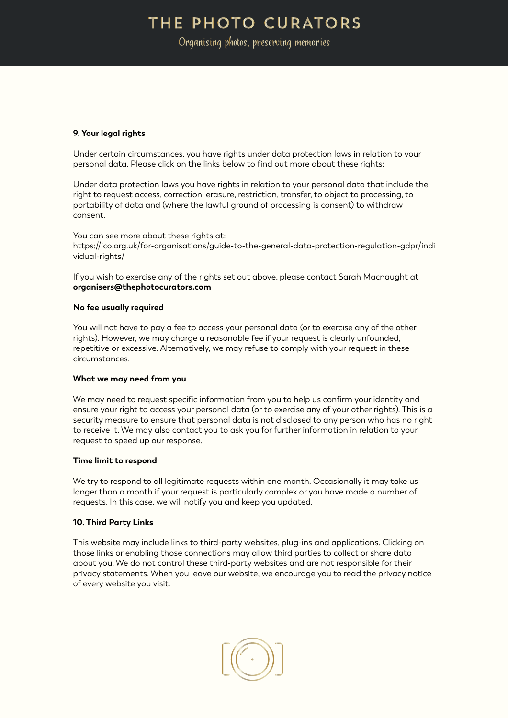Organising photos, preserving memories

### **9. Your legal rights**

Under certain circumstances, you have rights under data protection laws in relation to your personal data. Please click on the links below to find out more about these rights:

Under data protection laws you have rights in relation to your personal data that include the right to request access, correction, erasure, restriction, transfer, to object to processing, to portability of data and (where the lawful ground of processing is consent) to withdraw consent.

You can see more about these rights at: [https://ico.org.uk/for-organisations/guide-to-the-general-data-protection-regulation-gdpr/indi](https://ico.org.uk/for-organisations/guide-to-the-general-data-protection-regulation-gdpr/individual-rights/) vidual-rights/

If you wish to exercise any of the rights set out above, please contact Sarah Macnaught at **organisers@thephotocurators.com**

#### **No fee usually required**

You will not have to pay a fee to access your personal data (or to exercise any of the other rights). However, we may charge a reasonable fee if your request is clearly unfounded, repetitive or excessive. Alternatively, we may refuse to comply with your request in these circumstances.

#### **What we may need from you**

We may need to request specific information from you to help us confirm your identity and ensure your right to access your personal data (or to exercise any of your other rights). This is a security measure to ensure that personal data is not disclosed to any person who has no right to receive it. We may also contact you to ask you for further information in relation to your request to speed up our response.

#### **Time limit to respond**

We try to respond to all legitimate requests within one month. Occasionally it may take us longer than a month if your request is particularly complex or you have made a number of requests. In this case, we will notify you and keep you updated.

# **10. Third Party Links**

This website may include links to third-party websites, plug-ins and applications. Clicking on those links or enabling those connections may allow third parties to collect or share data about you. We do not control these third-party websites and are not responsible for their privacy statements. When you leave our website, we encourage you to read the privacy notice of every website you visit.

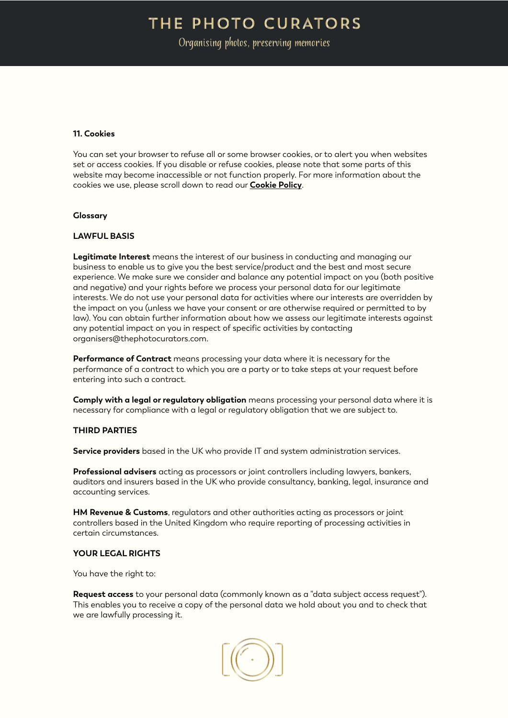Organising photos, preserving memories

#### **11. Cookies**

You can set your browser to refuse all or some browser cookies, or to alert you when websites set or access cookies. If you disable or refuse cookies, please note that some parts of this website may become inaccessible or not function properly. For more information about the cookies we use, please scroll down to read our **[Cookie Policy](#page-10-0)**.

#### **Glossary**

#### **LAWFUL BASIS**

**Legitimate Interest** means the interest of our business in conducting and managing our business to enable us to give you the best service/product and the best and most secure experience. We make sure we consider and balance any potential impact on you (both positive and negative) and your rights before we process your personal data for our legitimate interests. We do not use your personal data for activities where our interests are overridden by the impact on you (unless we have your consent or are otherwise required or permitted to by law). You can obtain further information about how we assess our legitimate interests against any potential impact on you in respect of specific activities by contacting organisers@thephotocurators.com.

**Performance of Contract** means processing your data where it is necessary for the performance of a contract to which you are a party or to take steps at your request before entering into such a contract.

**Comply with a legal or regulatory obligation** means processing your personal data where it is necessary for compliance with a legal or regulatory obligation that we are subject to.

#### **THIRD PARTIES**

**Service providers** based in the UK who provide IT and system administration services.

**Professional advisers** acting as processors or joint controllers including lawyers, bankers, auditors and insurers based in the UK who provide consultancy, banking, legal, insurance and accounting services.

**HM Revenue & Customs**, regulators and other authorities acting as processors or joint controllers based in the United Kingdom who require reporting of processing activities in certain circumstances.

#### **YOUR LEGAL RIGHTS**

You have the right to:

**Request access** to your personal data (commonly known as a "data subject access request"). This enables you to receive a copy of the personal data we hold about you and to check that we are lawfully processing it.

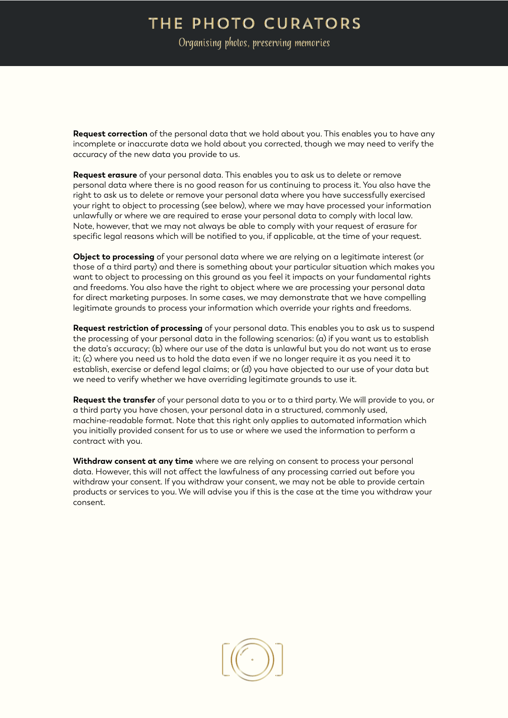Organising photos, preserving memories

**Request correction** of the personal data that we hold about you. This enables you to have any incomplete or inaccurate data we hold about you corrected, though we may need to verify the accuracy of the new data you provide to us.

**Request erasure** of your personal data. This enables you to ask us to delete or remove personal data where there is no good reason for us continuing to process it. You also have the right to ask us to delete or remove your personal data where you have successfully exercised your right to object to processing (see below), where we may have processed your information unlawfully or where we are required to erase your personal data to comply with local law. Note, however, that we may not always be able to comply with your request of erasure for specific legal reasons which will be notified to you, if applicable, at the time of your request.

**Object to processing** of your personal data where we are relying on a legitimate interest (or those of a third party) and there is something about your particular situation which makes you want to object to processing on this ground as you feel it impacts on your fundamental rights and freedoms. You also have the right to object where we are processing your personal data for direct marketing purposes. In some cases, we may demonstrate that we have compelling legitimate grounds to process your information which override your rights and freedoms.

**Request restriction of processing** of your personal data. This enables you to ask us to suspend the processing of your personal data in the following scenarios: (a) if you want us to establish the data's accuracy; (b) where our use of the data is unlawful but you do not want us to erase it; (c) where you need us to hold the data even if we no longer require it as you need it to establish, exercise or defend legal claims; or (d) you have objected to our use of your data but we need to verify whether we have overriding legitimate grounds to use it.

**Request the transfer** of your personal data to you or to a third party. We will provide to you, or a third party you have chosen, your personal data in a structured, commonly used, machine-readable format. Note that this right only applies to automated information which you initially provided consent for us to use or where we used the information to perform a contract with you.

**Withdraw consent at any time** where we are relying on consent to process your personal data. However, this will not affect the lawfulness of any processing carried out before you withdraw your consent. If you withdraw your consent, we may not be able to provide certain products or services to you. We will advise you if this is the case at the time you withdraw your consent.

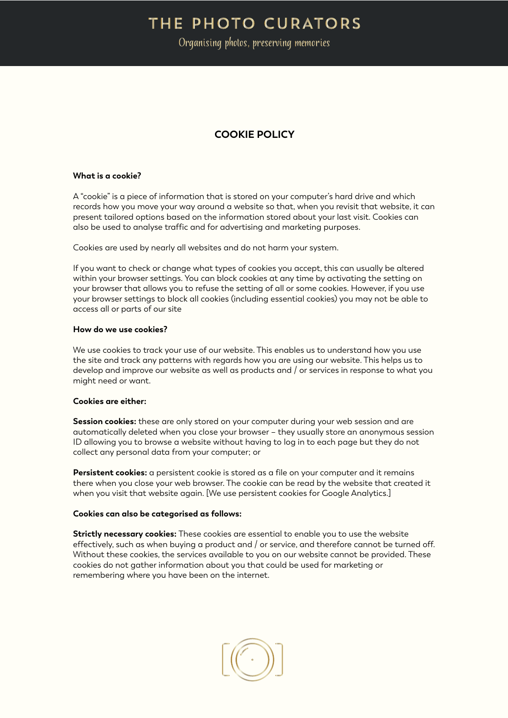<span id="page-10-0"></span>Organising photos, preserving memories

# **COOKIE POLICY**

#### **What is a cookie?**

A "cookie" is a piece of information that is stored on your computer's hard drive and which records how you move your way around a website so that, when you revisit that website, it can present tailored options based on the information stored about your last visit. Cookies can also be used to analyse traffic and for advertising and marketing purposes.

Cookies are used by nearly all websites and do not harm your system.

If you want to check or change what types of cookies you accept, this can usually be altered within your browser settings. You can block cookies at any time by activating the setting on your browser that allows you to refuse the setting of all or some cookies. However, if you use your browser settings to block all cookies (including essential cookies) you may not be able to access all or parts of our site

### **How do we use cookies?**

We use cookies to track your use of our website. This enables us to understand how you use the site and track any patterns with regards how you are using our website. This helps us to develop and improve our website as well as products and / or services in response to what you might need or want.

#### **Cookies are either:**

**Session cookies:** these are only stored on your computer during your web session and are automatically deleted when you close your browser – they usually store an anonymous session ID allowing you to browse a website without having to log in to each page but they do not collect any personal data from your computer; or

**Persistent cookies:** a persistent cookie is stored as a file on your computer and it remains there when you close your web browser. The cookie can be read by the website that created it when you visit that website again. [We use persistent cookies for Google Analytics.]

# **Cookies can also be categorised as follows:**

**Strictly necessary cookies:** These cookies are essential to enable you to use the website effectively, such as when buying a product and / or service, and therefore cannot be turned off. Without these cookies, the services available to you on our website cannot be provided. These cookies do not gather information about you that could be used for marketing or remembering where you have been on the internet.